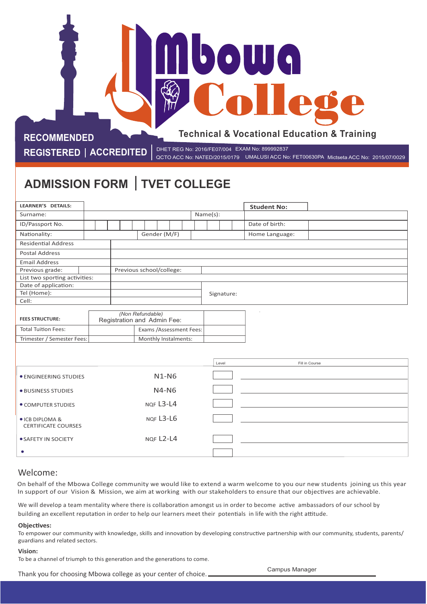# **Technical & Vocational Education & Training**

**bowq** 

**RECOMMENDED**

**REGISTERED | ACCREDITED |** DHET REG No: 2016/FE07/004 EXAM No: 899992837<br>QCTO ACC No: RETO0630PA QCTO ACC No: NATED/2015/0179 UMALUSI ACC No: FET00630PA Mictseta ACC No: 2015/07/0029

# **ADMISSION FORM TVET COLLEGE**

| <b>LEARNER'S DETAILS:</b>                     |  |                                                 |           |  |          |  |  |  |            |  | <b>Student No:</b> |  |  |  |  |  |
|-----------------------------------------------|--|-------------------------------------------------|-----------|--|----------|--|--|--|------------|--|--------------------|--|--|--|--|--|
| Surname:                                      |  |                                                 |           |  | Name(s): |  |  |  |            |  |                    |  |  |  |  |  |
| ID/Passport No.                               |  |                                                 |           |  |          |  |  |  |            |  | Date of birth:     |  |  |  |  |  |
| Nationality:                                  |  | Gender (M/F)                                    |           |  |          |  |  |  |            |  | Home Language:     |  |  |  |  |  |
| <b>Residential Address</b>                    |  |                                                 |           |  |          |  |  |  |            |  |                    |  |  |  |  |  |
| <b>Postal Address</b>                         |  |                                                 |           |  |          |  |  |  |            |  |                    |  |  |  |  |  |
| <b>Email Address</b>                          |  |                                                 |           |  |          |  |  |  |            |  |                    |  |  |  |  |  |
| Previous grade:                               |  | Previous school/college:                        |           |  |          |  |  |  |            |  |                    |  |  |  |  |  |
| List two sporting activities:                 |  |                                                 |           |  |          |  |  |  |            |  |                    |  |  |  |  |  |
| Date of application:                          |  |                                                 |           |  |          |  |  |  |            |  |                    |  |  |  |  |  |
| Tel (Home):                                   |  |                                                 |           |  |          |  |  |  | Signature: |  |                    |  |  |  |  |  |
| Cell:                                         |  |                                                 |           |  |          |  |  |  |            |  |                    |  |  |  |  |  |
| <b>FEES STRUCTURE:</b>                        |  | (Non Refundable)<br>Registration and Admin Fee: |           |  |          |  |  |  |            |  |                    |  |  |  |  |  |
| <b>Total Tuition Fees:</b>                    |  | Exams /Assessment Fees:                         |           |  |          |  |  |  |            |  |                    |  |  |  |  |  |
| Trimester / Semester Fees:                    |  | Monthly Instalments:                            |           |  |          |  |  |  |            |  |                    |  |  |  |  |  |
|                                               |  |                                                 |           |  |          |  |  |  |            |  |                    |  |  |  |  |  |
|                                               |  |                                                 |           |  |          |  |  |  |            |  |                    |  |  |  |  |  |
|                                               |  |                                                 |           |  |          |  |  |  | Level      |  | Fill in Course     |  |  |  |  |  |
| <b>• ENGINEERING STUDIES</b>                  |  |                                                 |           |  | $N1-N6$  |  |  |  |            |  |                    |  |  |  |  |  |
| · BUSINESS STUDIES                            |  | $N4-N6$                                         |           |  |          |  |  |  |            |  |                    |  |  |  |  |  |
| • COMPUTER STUDIES                            |  | NOF L3-L4                                       |           |  |          |  |  |  |            |  |                    |  |  |  |  |  |
| ● ICB DIPLOMA &<br><b>CERTIFICATE COURSES</b> |  |                                                 | NOF L3-L6 |  |          |  |  |  |            |  |                    |  |  |  |  |  |
| · SAFETY IN SOCIETY                           |  | NQF L2-L4                                       |           |  |          |  |  |  |            |  |                    |  |  |  |  |  |
| $\bullet$                                     |  |                                                 |           |  |          |  |  |  |            |  |                    |  |  |  |  |  |

# Welcome:

On behalf of the Mbowa College community we would like to extend a warm welcome to you our new students joining us this year In support of our Vision & Mission, we aim at working with our stakeholders to ensure that our objectives are achievable.

We will develop a team mentality where there is collaboration amongst us in order to become active ambassadors of our school by building an excellent reputation in order to help our learners meet their potentials in life with the right attitude.

#### **Objectives:**

To empower our community with knowledge, skills and innovation by developing constructive partnership with our community, students, parents/ guardians and related sectors.

#### **Vision:**

To be a channel of triumph to this generation and the generations to come.

Thank you for choosing Mbowa college as your center of choice.

Campus Manager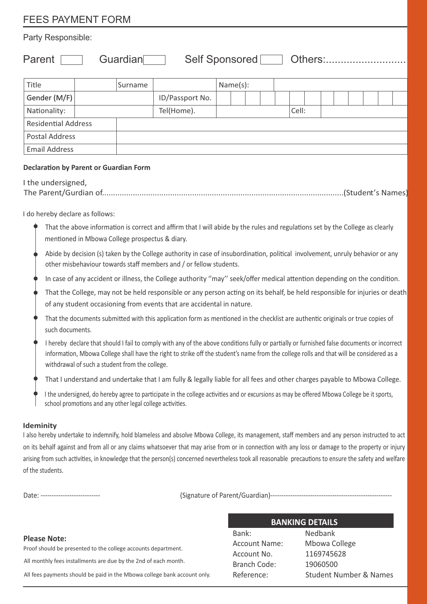# FEES PAYMENT FORM

# Party Responsible:

Parent Guardian Self Sponsored Others:...........................

| Title                      | Surname |                 | Name(s): |  |       |  |  |  |  |
|----------------------------|---------|-----------------|----------|--|-------|--|--|--|--|
| Gender (M/F)               |         | ID/Passport No. |          |  |       |  |  |  |  |
| Nationality:               |         | Tel(Home).      |          |  | Cell: |  |  |  |  |
| <b>Residential Address</b> |         |                 |          |  |       |  |  |  |  |
| <b>Postal Address</b>      |         |                 |          |  |       |  |  |  |  |
| <b>Email Address</b>       |         |                 |          |  |       |  |  |  |  |

#### **Declaration by Parent or Guardian Form**

 I the undersigned, The Parent/Gurdian of..............................................................................................................(Student's Names)

I do hereby declare as follows:

- That the above information is correct and affirm that I will abide by the rules and regulations set by the College as clearly mentioned in Mbowa College prospectus & diary.
- Abide by decision (s) taken by the College authority in case of insubordination, political involvement, unruly behavior or any other misbehaviour towards staff members and / or fellow students.
- In case of any accident or illness, the College authority "may" seek/offer medical attention depending on the condition.
- That the College, may not be held responsible or any person acting on its behalf, be held responsible for injuries or death of any student occasioning from events that are accidental in nature.
- That the documents submitted with this application form as mentioned in the checklist are authentic originals or true copies of such documents.
- I hereby declare that should I fail to comply with any of the above conditions fully or partially or furnished false documents or incorrect information, Mbowa College shall have the right to strike off the student's name from the college rolls and that will be considered as a withdrawal of such a student from the college.
- That I understand and undertake that I am fully & legally liable for all fees and other charges payable to Mbowa College.
- I the undersigned, do hereby agree to participate in the college activities and or excursions as may be offered Mbowa College be it sports, school promotions and any other legal college activities.

# **Ideminity**

I also hereby undertake to indemnify, hold blameless and absolve Mbowa College, its management, staff members and any person instructed to act on its behalf against and from all or any claims whatsoever that may arise from or in connection with any loss or damage to the property or injury arising from such activities, in knowledge that the person(s) concerned nevertheless took all reasonable precautions to ensure the safety and welfare of the students.

Date: --------------------------- (Signature of Parent/Guardian)-------------------------------------------------------

# **Please Note:**

 All monthly fees installments are due by the 2nd of each month. All fees payments should be paid in the Mbowa college bank account only. Proof should be presented to the college accounts department.

# **BANKING DETAILS**

Bank: Nedbank Account No. 1169745628 Branch Code: 19060500

Account Name: Mbowa College Reference: Student Number & Names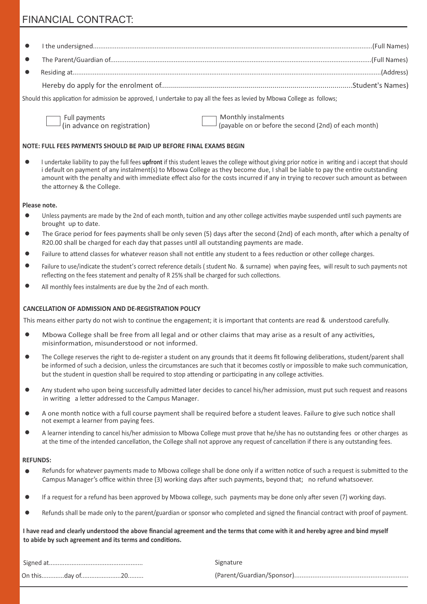# FINANCIAL CONTRACT:

Should this application for admission be approved, I undertake to pay all the fees as levied by Mbowa College as follows;

Full payments<br>(in advance on registration)  $\Box$  Monthly instalments<br>(payable on or before t

(payable on or before the second (2nd) of each month)

#### **NOTE: FULL FEES PAYMENTS SHOULD BE PAID UP BEFORE FINAL EXAMS BEGIN**

 $\bullet$ I undertake liability to pay the full fees upfront if this student leaves the college without giving prior notice in writing and i accept that should i default on payment of any instalment(s) to Mbowa College as they become due, I shall be liable to pay the entire outstanding amount with the penalty and with immediate effect also for the costs incurred if any in trying to recover such amount as between the attorney & the College.

#### **Please note.**

- $\bullet$ Unless payments are made by the 2nd of each month, tuition and any other college activities maybe suspended until such payments are brought up to date.
- $\bullet$ The Grace period for fees payments shall be only seven (5) days after the second (2nd) of each month, after which a penalty of R20.00 shall be charged for each day that passes until all outstanding payments are made.
- Failure to attend classes for whatever reason shall not entitle any student to a fees reduction or other college charges.
- Failure to use/indicate the student's correct reference details ( student No. & surname) when paying fees, will result to such payments not reflecting on the fees statement and penalty of R 25% shall be charged for such collections.
- $\bullet$ All monthly fees instalments are due by the 2nd of each month.

#### **CANCELLATION OF ADMISSION AND DE-REGISTRATION POLICY**

This means either party do not wish to continue the engagement; it is important that contents are read  $\&$  understood carefully.

- $\bullet$ Mbowa College shall be free from all legal and or other claims that may arise as a result of any activities, misinformation, misunderstood or not informed.
- The College reserves the right to de-register a student on any grounds that it deems fit following deliberations, student/parent shall be informed of such a decision, unless the circumstances are such that it becomes costly or impossible to make such communication, but the student in question shall be required to stop attending or participating in any college activities.
- $\bullet$ Any student who upon being successfully admitted later decides to cancel his/her admission, must put such request and reasons in writing a letter addressed to the Campus Manager.
- A one month notice with a full course payment shall be required before a student leaves. Failure to give such notice shall  $\bullet$ not exempt a learner from paying fees.
- $\bullet$ A learner intending to cancel his/her admission to Mbowa College must prove that he/she has no outstanding fees or other charges as at the time of the intended cancellation, the College shall not approve any request of cancellation if there is any outstanding fees.

#### **REFUNDS:**

- Refunds for whatever payments made to Mbowa college shall be done only if a written notice of such a request is submitted to the  $\bullet$ Campus Manager's office within three (3) working days after such payments, beyond that; no refund whatsoever.
- If a request for a refund has been approved by Mbowa college, such payments may be done only after seven (7) working days.  $\bullet$
- $\bullet$ Refunds shall be made only to the parent/guardian or sponsor who completed and signed the financial contract with proof of payment.

**I have read and clearly understood the above financial agreement and the terms that come with it and hereby agree and bind myself**  to abide by such agreement and its terms and conditions.

|  | Signature |
|--|-----------|
|  |           |